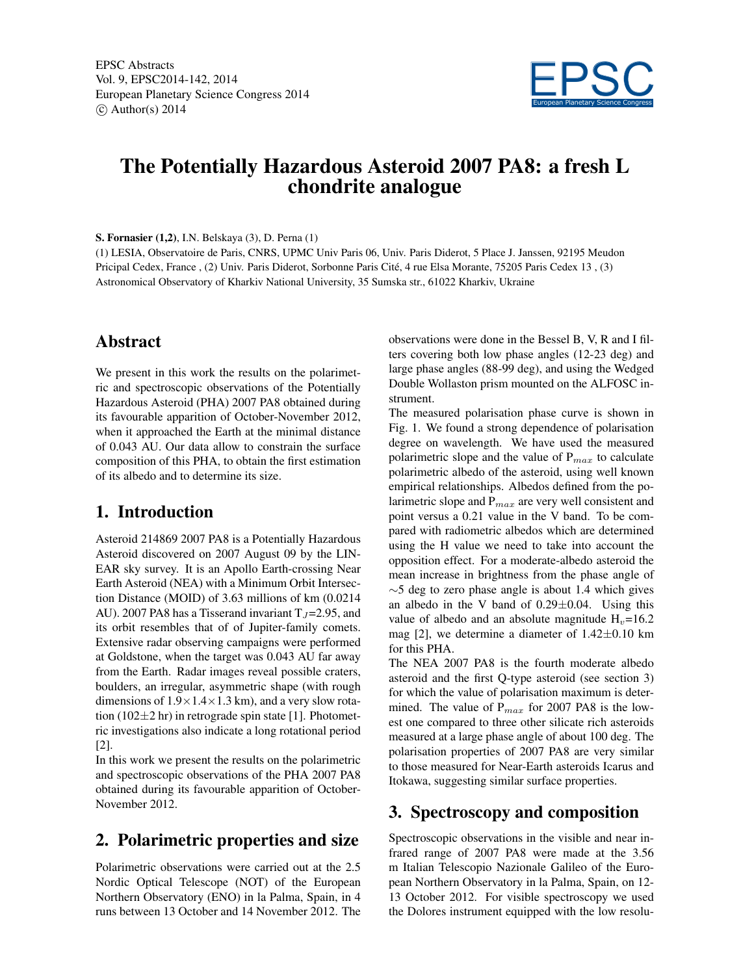EPSC Abstracts Vol. 9, EPSC2014-142, 2014 European Planetary Science Congress 2014  $\circ$  Author(s) 2014



# The Potentially Hazardous Asteroid 2007 PA8: a fresh L chondrite analogue

S. Fornasier (1,2), I.N. Belskaya (3), D. Perna (1)

(1) LESIA, Observatoire de Paris, CNRS, UPMC Univ Paris 06, Univ. Paris Diderot, 5 Place J. Janssen, 92195 Meudon Pricipal Cedex, France , (2) Univ. Paris Diderot, Sorbonne Paris Cité, 4 rue Elsa Morante, 75205 Paris Cedex 13 , (3) Astronomical Observatory of Kharkiv National University, 35 Sumska str., 61022 Kharkiv, Ukraine

# Abstract

We present in this work the results on the polarimetric and spectroscopic observations of the Potentially Hazardous Asteroid (PHA) 2007 PA8 obtained during its favourable apparition of October-November 2012, when it approached the Earth at the minimal distance of 0.043 AU. Our data allow to constrain the surface composition of this PHA, to obtain the first estimation of its albedo and to determine its size.

## 1. Introduction

Asteroid 214869 2007 PA8 is a Potentially Hazardous Asteroid discovered on 2007 August 09 by the LIN-EAR sky survey. It is an Apollo Earth-crossing Near Earth Asteroid (NEA) with a Minimum Orbit Intersection Distance (MOID) of 3.63 millions of km (0.0214 AU). 2007 PA8 has a Tisserand invariant  $T_J = 2.95$ , and its orbit resembles that of of Jupiter-family comets. Extensive radar observing campaigns were performed at Goldstone, when the target was 0.043 AU far away from the Earth. Radar images reveal possible craters, boulders, an irregular, asymmetric shape (with rough dimensions of  $1.9 \times 1.4 \times 1.3$  km), and a very slow rotation (102 $\pm$ 2 hr) in retrograde spin state [1]. Photometric investigations also indicate a long rotational period [2].

In this work we present the results on the polarimetric and spectroscopic observations of the PHA 2007 PA8 obtained during its favourable apparition of October-November 2012.

# 2. Polarimetric properties and size

Polarimetric observations were carried out at the 2.5 Nordic Optical Telescope (NOT) of the European Northern Observatory (ENO) in la Palma, Spain, in 4 runs between 13 October and 14 November 2012. The observations were done in the Bessel B, V, R and I filters covering both low phase angles (12-23 deg) and large phase angles (88-99 deg), and using the Wedged Double Wollaston prism mounted on the ALFOSC instrument.

The measured polarisation phase curve is shown in Fig. 1. We found a strong dependence of polarisation degree on wavelength. We have used the measured polarimetric slope and the value of  $P_{max}$  to calculate polarimetric albedo of the asteroid, using well known empirical relationships. Albedos defined from the polarimetric slope and  $P_{max}$  are very well consistent and point versus a 0.21 value in the V band. To be compared with radiometric albedos which are determined using the H value we need to take into account the opposition effect. For a moderate-albedo asteroid the mean increase in brightness from the phase angle of  $\sim$ 5 deg to zero phase angle is about 1.4 which gives an albedo in the V band of  $0.29 \pm 0.04$ . Using this value of albedo and an absolute magnitude  $H<sub>v</sub>=16.2$ mag [2], we determine a diameter of  $1.42\pm0.10$  km for this PHA.

The NEA 2007 PA8 is the fourth moderate albedo asteroid and the first Q-type asteroid (see section 3) for which the value of polarisation maximum is determined. The value of  $P_{max}$  for 2007 PA8 is the lowest one compared to three other silicate rich asteroids measured at a large phase angle of about 100 deg. The polarisation properties of 2007 PA8 are very similar to those measured for Near-Earth asteroids Icarus and Itokawa, suggesting similar surface properties.

## 3. Spectroscopy and composition

Spectroscopic observations in the visible and near infrared range of 2007 PA8 were made at the 3.56 m Italian Telescopio Nazionale Galileo of the European Northern Observatory in la Palma, Spain, on 12- 13 October 2012. For visible spectroscopy we used the Dolores instrument equipped with the low resolu-